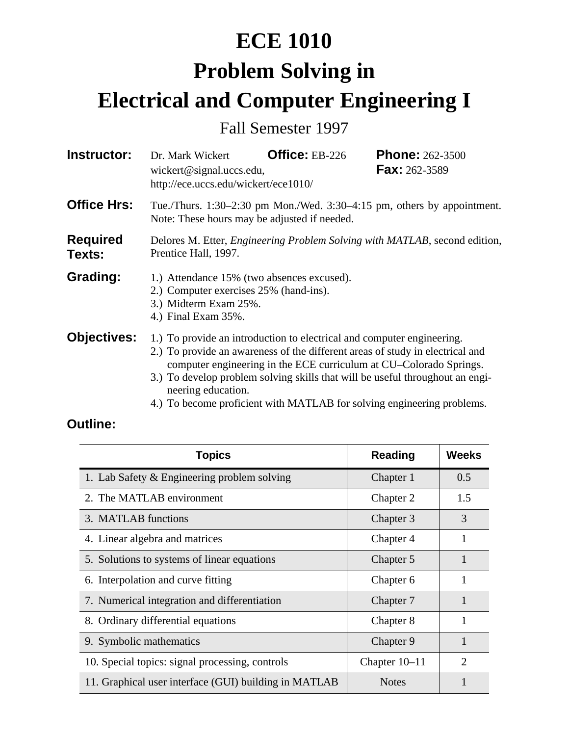## **ECE 1010 Problem Solving in Electrical and Computer Engineering I**

Fall Semester 1997

| Instructor:               | Dr. Mark Wickert<br>wickert@signal.uccs.edu,<br>http://ece.uccs.edu/wickert/ece1010/                                                                                                                                                                                                                                                 | Office: EB-226 | <b>Phone: 262-3500</b><br><b>Fax:</b> 262-3589 |  |  |
|---------------------------|--------------------------------------------------------------------------------------------------------------------------------------------------------------------------------------------------------------------------------------------------------------------------------------------------------------------------------------|----------------|------------------------------------------------|--|--|
| <b>Office Hrs:</b>        | Tue./Thurs. 1:30–2:30 pm Mon./Wed. 3:30–4:15 pm, others by appointment.<br>Note: These hours may be adjusted if needed.                                                                                                                                                                                                              |                |                                                |  |  |
| <b>Required</b><br>Texts: | Delores M. Etter, <i>Engineering Problem Solving with MATLAB</i> , second edition,<br>Prentice Hall, 1997.                                                                                                                                                                                                                           |                |                                                |  |  |
| Grading:                  | 1.) Attendance 15% (two absences excused).<br>2.) Computer exercises 25% (hand-ins).<br>3.) Midterm Exam 25%.<br>4.) Final Exam 35%.                                                                                                                                                                                                 |                |                                                |  |  |
| <b>Objectives:</b>        | 1.) To provide an introduction to electrical and computer engineering.<br>2.) To provide an awareness of the different areas of study in electrical and<br>computer engineering in the ECE curriculum at CU–Colorado Springs.<br>3.) To develop problem solving skills that will be useful throughout an engi-<br>neering education. |                |                                                |  |  |

4.) To become proficient with MATLAB for solving engineering problems.

## **Outline:**

| <b>Topics</b>                                         | <b>Reading</b> | <b>Weeks</b>                |
|-------------------------------------------------------|----------------|-----------------------------|
| 1. Lab Safety & Engineering problem solving           | Chapter 1      | 0.5                         |
| 2. The MATLAB environment                             | Chapter 2      | 1.5                         |
| 3. MATLAB functions                                   | Chapter 3      | 3                           |
| 4. Linear algebra and matrices                        | Chapter 4      |                             |
| 5. Solutions to systems of linear equations           | Chapter 5      |                             |
| 6. Interpolation and curve fitting                    | Chapter 6      |                             |
| 7. Numerical integration and differentiation          | Chapter 7      | $\mathbf{1}$                |
| 8. Ordinary differential equations                    | Chapter 8      | 1                           |
| 9. Symbolic mathematics                               | Chapter 9      | $\mathbf{1}$                |
| 10. Special topics: signal processing, controls       | Chapter 10-11  | $\mathcal{D}_{\mathcal{L}}$ |
| 11. Graphical user interface (GUI) building in MATLAB | <b>Notes</b>   |                             |